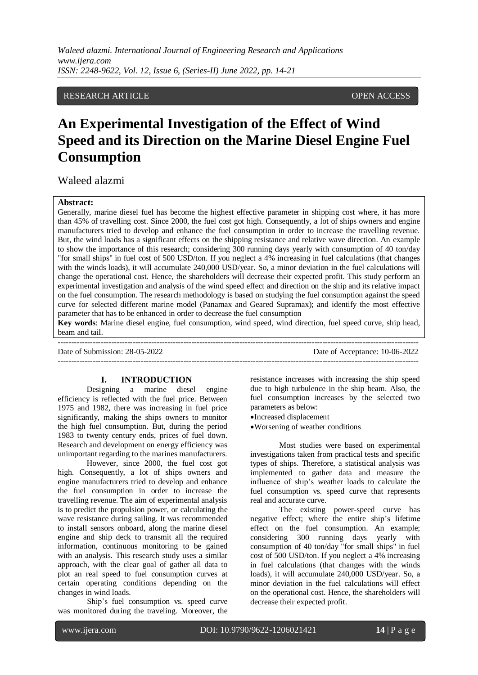# RESEARCH ARTICLE OPEN ACCESS

# **An Experimental Investigation of the Effect of Wind Speed and its Direction on the Marine Diesel Engine Fuel Consumption**

Waleed alazmi

## **Abstract:**

Generally, marine diesel fuel has become the highest effective parameter in shipping cost where, it has more than 45% of travelling cost. Since 2000, the fuel cost got high. Consequently, a lot of ships owners and engine manufacturers tried to develop and enhance the fuel consumption in order to increase the travelling revenue. But, the wind loads has a significant effects on the shipping resistance and relative wave direction. An example to show the importance of this research; considering 300 running days yearly with consumption of 40 ton/day "for small ships" in fuel cost of 500 USD/ton. If you neglect a 4% increasing in fuel calculations (that changes with the winds loads), it will accumulate 240,000 USD/year. So, a minor deviation in the fuel calculations will change the operational cost. Hence, the shareholders will decrease their expected profit. This study perform an experimental investigation and analysis of the wind speed effect and direction on the ship and its relative impact on the fuel consumption. The research methodology is based on studying the fuel consumption against the speed curve for selected different marine model (Panamax and Geared Supramax); and identify the most effective parameter that has to be enhanced in order to decrease the fuel consumption

**Key words**: Marine diesel engine, fuel consumption, wind speed, wind direction, fuel speed curve, ship head, beam and tail.

| Date of Submission: 28-05-2022 | Date of Acceptance: 10-06-2022 |
|--------------------------------|--------------------------------|
|                                |                                |

#### **I. INTRODUCTION**

Designing a marine diesel engine efficiency is reflected with the fuel price. Between 1975 and 1982, there was increasing in fuel price significantly, making the ships owners to monitor the high fuel consumption. But, during the period 1983 to twenty century ends, prices of fuel down. Research and development on energy efficiency was unimportant regarding to the marines manufacturers.

However, since 2000, the fuel cost got high. Consequently, a lot of ships owners and engine manufacturers tried to develop and enhance the fuel consumption in order to increase the travelling revenue. The aim of experimental analysis is to predict the propulsion power, or calculating the wave resistance during sailing. It was recommended to install sensors onboard, along the marine diesel engine and ship deck to transmit all the required information, continuous monitoring to be gained with an analysis. This research study uses a similar approach, with the clear goal of gather all data to plot an real speed to fuel consumption curves at certain operating conditions depending on the changes in wind loads.

Ship's fuel consumption vs. speed curve was monitored during the traveling. Moreover, the resistance increases with increasing the ship speed due to high turbulence in the ship beam. Also, the fuel consumption increases by the selected two parameters as below:

Increased displacement

Worsening of weather conditions

Most studies were based on experimental investigations taken from practical tests and specific types of ships. Therefore, a statistical analysis was implemented to gather data and measure the influence of ship's weather loads to calculate the fuel consumption vs. speed curve that represents real and accurate curve.

The existing power-speed curve has negative effect; where the entire ship's lifetime effect on the fuel consumption. An example; considering 300 running days yearly with consumption of 40 ton/day "for small ships" in fuel cost of 500 USD/ton. If you neglect a 4% increasing in fuel calculations (that changes with the winds loads), it will accumulate 240,000 USD/year. So, a minor deviation in the fuel calculations will effect on the operational cost. Hence, the shareholders will decrease their expected profit.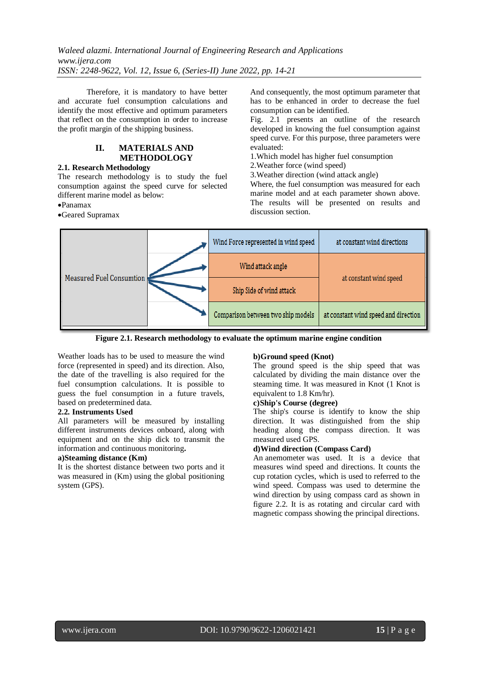*Waleed alazmi. International Journal of Engineering Research and Applications www.ijera.com ISSN: 2248-9622, Vol. 12, Issue 6, (Series-II) June 2022, pp. 14-21*

Therefore, it is mandatory to have better and accurate fuel consumption calculations and identify the most effective and optimum parameters that reflect on the consumption in order to increase the profit margin of the shipping business.

# **II. MATERIALS AND METHODOLOGY**

# **2.1. Research Methodology**

The research methodology is to study the fuel consumption against the speed curve for selected different marine model as below:

Panamax

Geared Supramax

And consequently, the most optimum parameter that has to be enhanced in order to decrease the fuel consumption can be identified.

Fig. 2.1 presents an outline of the research developed in knowing the fuel consumption against speed curve. For this purpose, three parameters were evaluated:

1.Which model has higher fuel consumption

2.Weather force (wind speed)

3.Weather direction (wind attack angle)

Where, the fuel consumption was measured for each marine model and at each parameter shown above. The results will be presented on results and discussion section.



**Figure 2.1. Research methodology to evaluate the optimum marine engine condition**

Weather loads has to be used to measure the wind force (represented in speed) and its direction. Also, the date of the travelling is also required for the fuel consumption calculations. It is possible to guess the fuel consumption in a future travels, based on predetermined data.

# **2.2. Instruments Used**

All parameters will be measured by installing different instruments devices onboard, along with equipment and on the ship dick to transmit the information and continuous monitoring**.**

# **a)Steaming distance (Km)**

It is the shortest distance between two ports and it was measured in (Km) using the global positioning system (GPS).

# **b)Ground speed (Knot)**

The ground speed is the ship speed that was calculated by dividing the main distance over the steaming time. It was measured in Knot (1 Knot is equivalent to 1.8 Km/hr).

#### **c)Ship's Course (degree)**

The ship's course is identify to know the ship direction. It was distinguished from the ship heading along the compass direction. It was measured used GPS.

# **d)Wind direction (Compass Card)**

An anemometer was used. It is a device that measures wind speed and directions. It counts the cup rotation cycles, which is used to referred to the wind speed. Compass was used to determine the wind direction by using compass card as shown in figure 2.2. It is as rotating and circular card with magnetic compass showing the principal directions.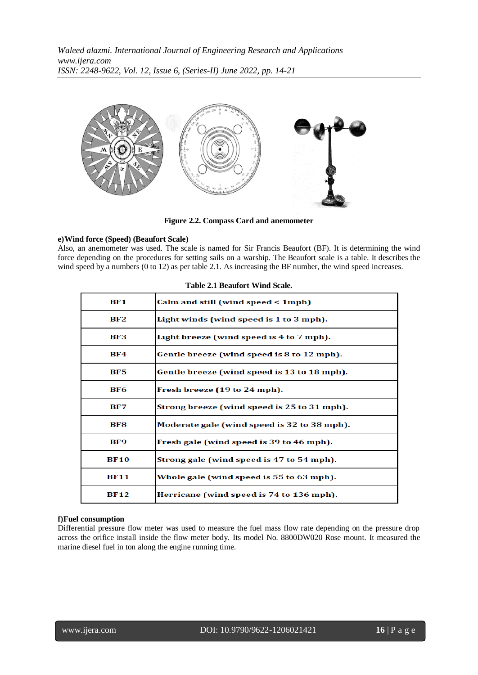

**Figure 2.2. Compass Card and anemometer**

# **e)Wind force (Speed) (Beaufort Scale)**

Also, an anemometer was used. The scale is named for Sir Francis Beaufort (BF). It is determining the wind force depending on the procedures for setting sails on a warship. The Beaufort scale is a table. It describes the wind speed by a numbers (0 to 12) as per table 2.1. As increasing the BF number, the wind speed increases.

| BF1             | Calm and still (wind speed < 1mph)          |
|-----------------|---------------------------------------------|
| BF2             | Light winds (wind speed is 1 to 3 mph).     |
| BF3             | Light breeze (wind speed is 4 to 7 mph).    |
| BF4             | Gentle breeze (wind speed is 8 to 12 mph).  |
| BF <sub>5</sub> | Gentle breeze (wind speed is 13 to 18 mph). |
| BF6             | Fresh breeze (19 to 24 mph).                |
| BF7             | Strong breeze (wind speed is 25 to 31 mph). |
| BF8             | Moderate gale (wind speed is 32 to 38 mph). |
| BF9             | Fresh gale (wind speed is 39 to 46 mph).    |
| <b>BF10</b>     | Strong gale (wind speed is 47 to 54 mph).   |
| <b>BF11</b>     | Whole gale (wind speed is 55 to 63 mph).    |
| <b>BF12</b>     | Herricane (wind speed is 74 to 136 mph).    |

# **Table 2.1 Beaufort Wind Scale.**

# **f)Fuel consumption**

Differential pressure flow meter was used to measure the fuel mass flow rate depending on the pressure drop across the orifice install inside the flow meter body. Its model No. 8800DW020 Rose mount. It measured the marine diesel fuel in ton along the engine running time.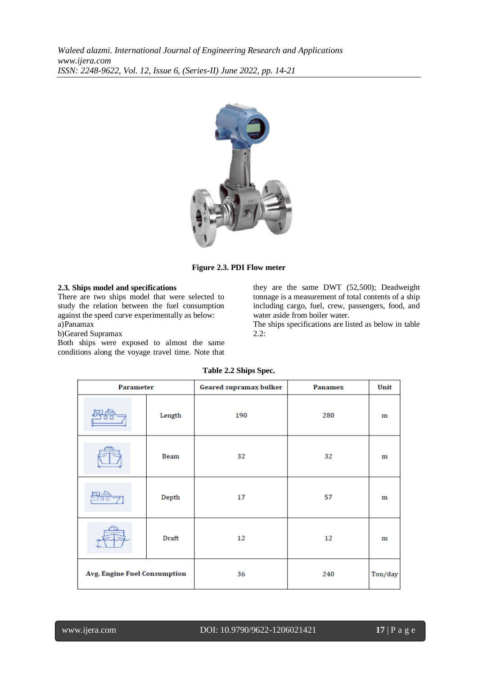

**Figure 2.3. PDI Flow meter**

# **2.3. Ships model and specifications**

There are two ships model that were selected to study the relation between the fuel consumption against the speed curve experimentally as below: a)Panamax

b)Geared Supramax

Both ships were exposed to almost the same conditions along the voyage travel time. Note that they are the same DWT (52,500); Deadweight tonnage is a measurement of total contents of a ship including cargo, fuel, crew, passengers, food, and water aside from boiler water.

The ships specifications are listed as below in table 2.2:

| <b>Parameter</b>                    |        | Geared supramax bulker | <b>Panamex</b> | Unit    |
|-------------------------------------|--------|------------------------|----------------|---------|
|                                     | Length | 190                    | 280            | m       |
|                                     | Beam   | 32                     | 32             | m       |
|                                     | Depth  | 17                     | 57             | m       |
|                                     | Draft  | 12                     | 12             | m       |
| <b>Avg. Engine Fuel Consumption</b> |        | 36                     | 240            | Ton/day |

#### **Table 2.2 Ships Spec.**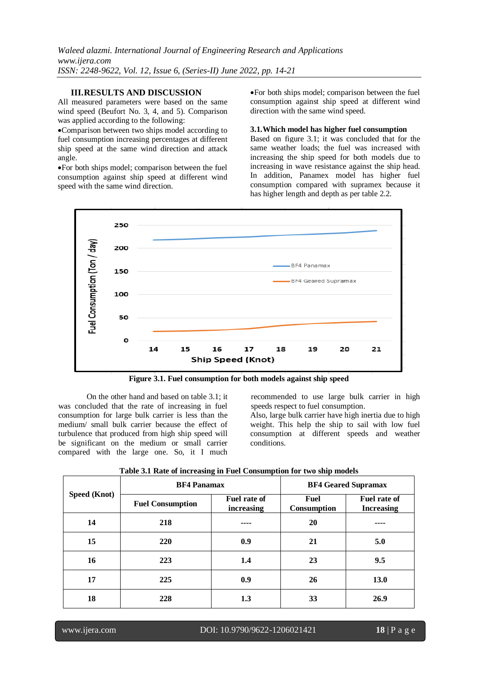# **III.RESULTS AND DISCUSSION**

All measured parameters were based on the same wind speed (Beufort No. 3, 4, and 5). Comparison was applied according to the following:

Comparison between two ships model according to fuel consumption increasing percentages at different ship speed at the same wind direction and attack angle.

For both ships model; comparison between the fuel consumption against ship speed at different wind speed with the same wind direction.

For both ships model; comparison between the fuel consumption against ship speed at different wind direction with the same wind speed.

#### **3.1.Which model has higher fuel consumption**

Based on figure 3.1; it was concluded that for the same weather loads; the fuel was increased with increasing the ship speed for both models due to increasing in wave resistance against the ship head. In addition, Panamex model has higher fuel consumption compared with supramex because it has higher length and depth as per table 2.2.



**Figure 3.1. Fuel consumption for both models against ship speed**

On the other hand and based on table 3.1; it was concluded that the rate of increasing in fuel consumption for large bulk carrier is less than the medium/ small bulk carrier because the effect of turbulence that produced from high ship speed will be significant on the medium or small carrier compared with the large one. So, it I much recommended to use large bulk carrier in high speeds respect to fuel consumption.

Also, large bulk carrier have high inertia due to high weight. This help the ship to sail with low fuel consumption at different speeds and weather conditions.

| <b>Speed (Knot)</b> | <b>BF4 Panamax</b>      |                                   | <b>BF4 Geared Supramax</b> |                                   |
|---------------------|-------------------------|-----------------------------------|----------------------------|-----------------------------------|
|                     | <b>Fuel Consumption</b> | <b>Fuel rate of</b><br>increasing | Fuel<br>Consumption        | Fuel rate of<br><b>Increasing</b> |
| 14                  | 218                     |                                   | 20                         |                                   |
| 15                  | <b>220</b>              | 0.9                               | 21                         | 5.0                               |
| 16                  | 223                     | 1.4                               | 23                         | 9.5                               |
| 17                  | 225                     | 0.9                               | 26                         | <b>13.0</b>                       |
| 18                  | 228                     | 1.3                               | 33                         | 26.9                              |

**Table 3.1 Rate of increasing in Fuel Consumption for two ship models**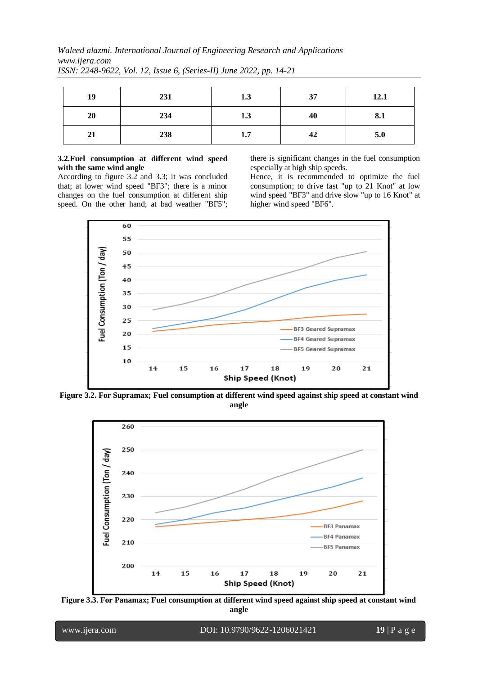*Waleed alazmi. International Journal of Engineering Research and Applications www.ijera.com*

| 19 | 231 | 1.3 | 37 | 12.1 |
|----|-----|-----|----|------|
| 20 | 234 | 1.3 | 40 | 8.1  |
| 21 | 238 | 1.7 | 42 | 5.0  |

*ISSN: 2248-9622, Vol. 12, Issue 6, (Series-II) June 2022, pp. 14-21*

# **3.2.Fuel consumption at different wind speed with the same wind angle**

According to figure 3.2 and 3.3; it was concluded that; at lower wind speed "BF3"; there is a minor changes on the fuel consumption at different ship speed. On the other hand; at bad weather "BF5"; there is significant changes in the fuel consumption especially at high ship speeds.

Hence, it is recommended to optimize the fuel consumption; to drive fast "up to 21 Knot" at low wind speed "BF3" and drive slow "up to 16 Knot" at higher wind speed "BF6".



**Figure 3.2. For Supramax; Fuel consumption at different wind speed against ship speed at constant wind angle**



**Figure 3.3. For Panamax; Fuel consumption at different wind speed against ship speed at constant wind angle**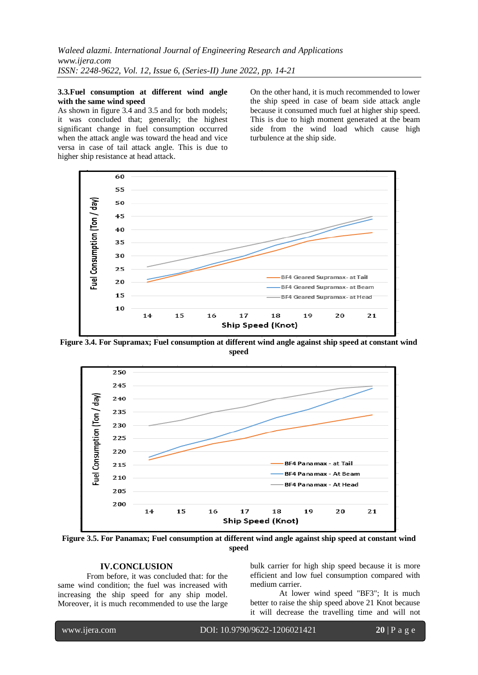#### **3.3.Fuel consumption at different wind angle with the same wind speed**

As shown in figure 3.4 and 3.5 and for both models; it was concluded that; generally; the highest significant change in fuel consumption occurred when the attack angle was toward the head and vice versa in case of tail attack angle. This is due to higher ship resistance at head attack.

On the other hand, it is much recommended to lower the ship speed in case of beam side attack angle because it consumed much fuel at higher ship speed. This is due to high moment generated at the beam side from the wind load which cause high turbulence at the ship side.



**Figure 3.4. For Supramax; Fuel consumption at different wind angle against ship speed at constant wind speed**



**Figure 3.5. For Panamax; Fuel consumption at different wind angle against ship speed at constant wind speed**

# **IV.CONCLUSION**

From before, it was concluded that: for the same wind condition; the fuel was increased with increasing the ship speed for any ship model. Moreover, it is much recommended to use the large bulk carrier for high ship speed because it is more efficient and low fuel consumption compared with medium carrier.

At lower wind speed "BF3"; It is much better to raise the ship speed above 21 Knot because it will decrease the travelling time and will not